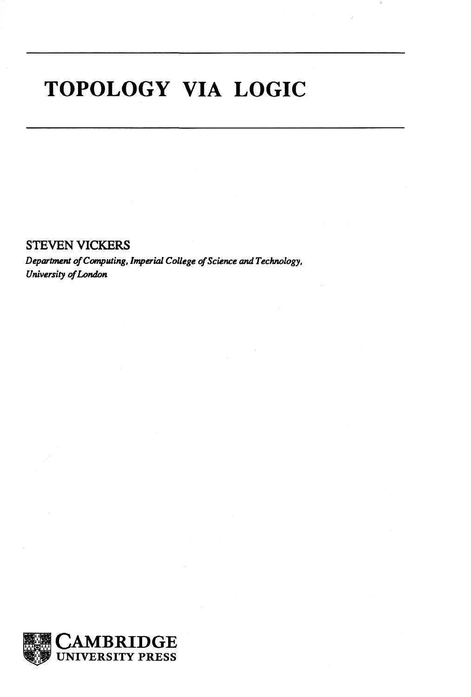## **TOPOLOGY VIA LOGIC**

STEVEN VICKERS

*Department of Computing, Imperial College of Science and Technology, University of London* 

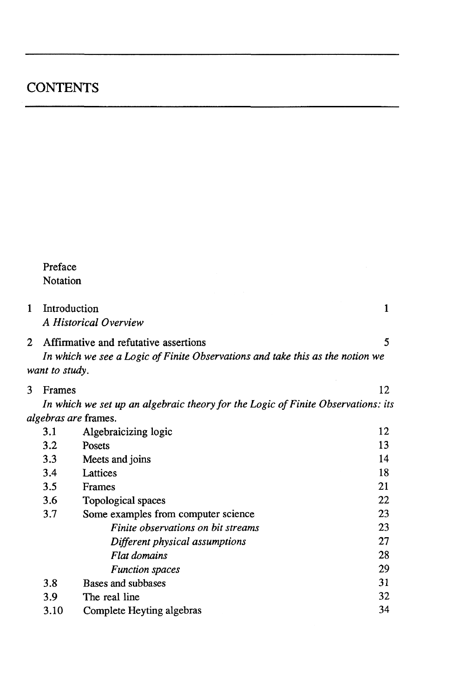|   | Preface                                                                          |                                       |    |  |  |
|---|----------------------------------------------------------------------------------|---------------------------------------|----|--|--|
|   | Notation                                                                         |                                       |    |  |  |
|   |                                                                                  |                                       |    |  |  |
| 1 | Introduction                                                                     | A Historical Overview                 | 1  |  |  |
| 2 |                                                                                  | Affirmative and refutative assertions | 5  |  |  |
|   | In which we see a Logic of Finite Observations and take this as the notion we    |                                       |    |  |  |
|   | want to study.                                                                   |                                       |    |  |  |
| 3 | Frames                                                                           |                                       | 12 |  |  |
|   | In which we set up an algebraic theory for the Logic of Finite Observations: its |                                       |    |  |  |
|   |                                                                                  | <i>algebras are</i> frames.           |    |  |  |
|   | 3.1                                                                              | Algebraicizing logic                  | 12 |  |  |
|   | 3.2                                                                              | Posets                                | 13 |  |  |
|   | 3.3                                                                              | Meets and joins                       | 14 |  |  |
|   | 3.4                                                                              | Lattices                              | 18 |  |  |
|   | 3.5                                                                              | Frames                                | 21 |  |  |
|   | 3.6                                                                              | Topological spaces                    | 22 |  |  |
|   | 3.7                                                                              | Some examples from computer science   | 23 |  |  |
|   |                                                                                  | Finite observations on bit streams    | 23 |  |  |
|   |                                                                                  | Different physical assumptions        | 27 |  |  |
|   |                                                                                  | Flat domains                          | 28 |  |  |
|   |                                                                                  | <b>Function</b> spaces                | 29 |  |  |
|   | 3.8                                                                              | Bases and subbases                    | 31 |  |  |
|   | 3.9                                                                              | The real line                         | 32 |  |  |
|   | 3.10                                                                             | Complete Heyting algebras             | 34 |  |  |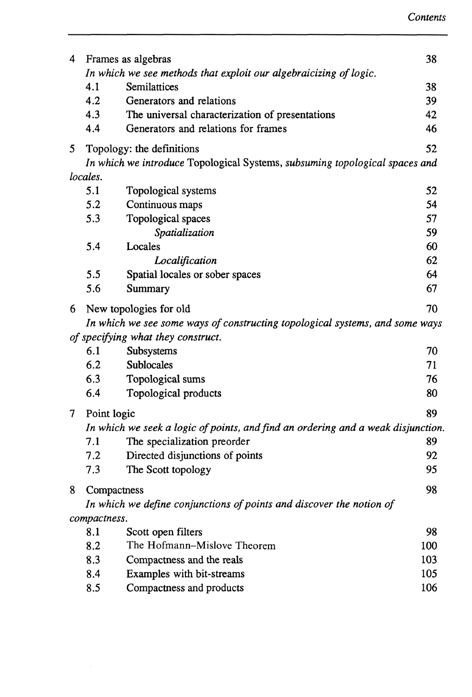| 4                                  |                                                                                  | Frames as algebras                                                           | 38  |  |
|------------------------------------|----------------------------------------------------------------------------------|------------------------------------------------------------------------------|-----|--|
|                                    | In which we see methods that exploit our algebraicizing of logic.                |                                                                              |     |  |
|                                    | 4.1                                                                              | Semilattices                                                                 | 38  |  |
|                                    | 4.2                                                                              | Generators and relations                                                     | 39  |  |
|                                    | 4.3                                                                              | The universal characterization of presentations                              | 42  |  |
|                                    | 4.4                                                                              | Generators and relations for frames                                          | 46  |  |
| 5                                  |                                                                                  | Topology: the definitions                                                    | 52  |  |
|                                    | In which we introduce Topological Systems, subsuming topological spaces and      |                                                                              |     |  |
|                                    | locales.                                                                         |                                                                              |     |  |
|                                    | 5.1                                                                              | Topological systems                                                          | 52  |  |
|                                    | 5.2                                                                              | Continuous maps                                                              | 54  |  |
|                                    | 5.3                                                                              | Topological spaces                                                           | 57  |  |
|                                    |                                                                                  | Spatialization                                                               | 59  |  |
|                                    | 5.4                                                                              | Locales                                                                      | 60  |  |
|                                    |                                                                                  | Localification                                                               | 62  |  |
|                                    | 5.5                                                                              | Spatial locales or sober spaces                                              | 64  |  |
|                                    | 5.6                                                                              | Summary                                                                      | 67  |  |
| 6                                  |                                                                                  | New topologies for old                                                       | 70  |  |
|                                    |                                                                                  | In which we see some ways of constructing topological systems, and some ways |     |  |
| of specifying what they construct. |                                                                                  |                                                                              |     |  |
|                                    | 6.1                                                                              | Subsystems                                                                   | 70  |  |
|                                    | 6.2                                                                              | Sublocales                                                                   | 71  |  |
|                                    | 6.3                                                                              | Topological sums                                                             | 76  |  |
|                                    | 6.4                                                                              | Topological products                                                         | 80  |  |
| $7_{\scriptscriptstyle{\sim}}$     | Point logic                                                                      |                                                                              | 89  |  |
|                                    | In which we seek a logic of points, and find an ordering and a weak disjunction. |                                                                              |     |  |
|                                    | 7.1                                                                              | The specialization preorder                                                  | 89  |  |
|                                    | 7.2                                                                              | Directed disjunctions of points                                              | 92  |  |
|                                    | 7.3                                                                              | The Scott topology                                                           | 95  |  |
| 8                                  | Compactness                                                                      |                                                                              | 98  |  |
|                                    |                                                                                  | In which we define conjunctions of points and discover the notion of         |     |  |
|                                    | compactness.                                                                     |                                                                              |     |  |
|                                    | 8.1                                                                              | Scott open filters                                                           | 98  |  |
|                                    | 8.2                                                                              | The Hofmann–Mislove Theorem                                                  | 100 |  |
|                                    | 8.3                                                                              | Compactness and the reals                                                    | 103 |  |
|                                    | 8.4                                                                              | Examples with bit-streams                                                    | 105 |  |
|                                    | 8.5                                                                              | Compactness and products                                                     | 106 |  |
|                                    |                                                                                  |                                                                              |     |  |